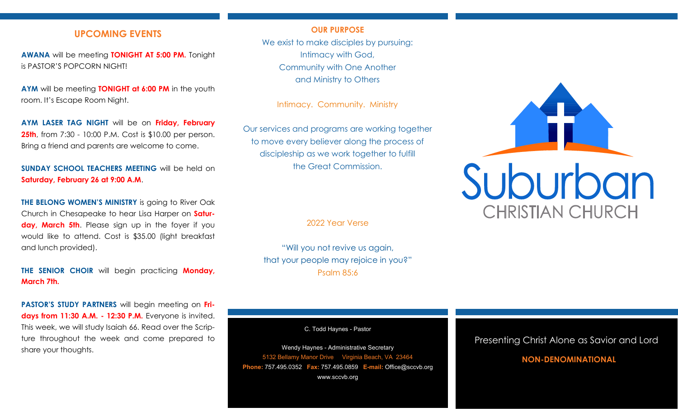# **UPCOMING EVENTS**

**AWANA** will be meeting **TONIGHT AT 5:00 PM.** Tonight is PASTOR'S POPCORN NIGHT!

**AYM** will be meeting **TONIGHT at 6:00 PM** in the youth room. It's Escape Room Night.

**AYM LASER TAG NIGHT** will be on **Friday, February 25th**, from 7:30 - 10:00 P.M. Cost is \$10.00 per person. Bring a friend and parents are welcome to come.

**SUNDAY SCHOOL TEACHERS MEETING** will be held on **Saturday, February 26 at 9:00 A.M**.

**THE BELONG WOMEN'S MINISTRY** is going to River Oak Church in Chesapeake to hear Lisa Harper on **Saturday, March 5th**. Please sign up in the foyer if you would like to attend. Cost is \$35.00 (light breakfast and lunch provided).

**THE SENIOR CHOIR** will begin practicing **Monday, March 7th.**

**PASTOR'S STUDY PARTNERS** will begin meeting on **Fridays from 11:30 A.M. - 12:30 P.M.** Everyone is invited. This week, we will study Isaiah 66. Read over the Scripture throughout the week and come prepared to share your thoughts.

## **OUR PURPOSE**

We exist to make disciples by pursuing: Intimacy with God, Community with One Another and Ministry to Others

Intimacy. Community. Ministry

Our services and programs are working together to move every believer along the process of discipleship as we work together to fulfill the Great Commission.

2022 Year Verse

"Will you not revive us again, that your people may rejoice in you?" Psalm 85:6

C. Todd Haynes - Pastor

Wendy Haynes - Administrative Secretary 5132 Bellamy Manor Drive Virginia Beach, VA 23464 **Phone:** 757.495.0352 **Fax:** 757.495.0859 **E-mail:** Office@sccvb.org www.sccvb.org



## Presenting Christ Alone as Savior and Lord

## **NON-DENOMINATIONAL**